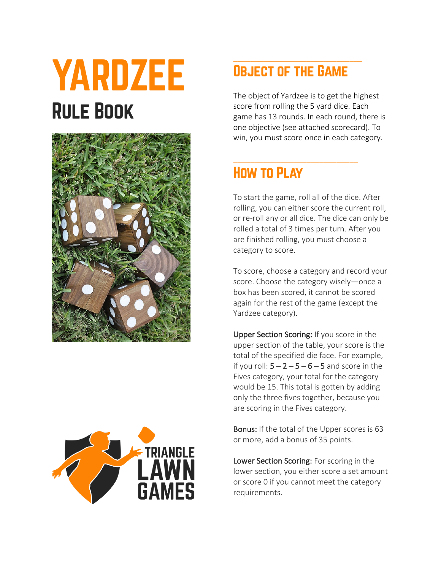# YARDZEE Rule Book





## OBJECT OF THE GAME

\_\_\_\_\_\_\_\_\_\_\_\_\_\_\_\_\_\_\_\_\_\_\_\_\_\_\_\_\_

\_\_\_\_\_\_\_\_\_\_\_\_\_\_\_\_\_\_\_\_\_\_\_\_\_\_\_\_\_\_

The object of Yardzee is to get the highest score from rolling the 5 yard dice. Each game has 13 rounds. In each round, there is one objective (see attached scorecard). To win, you must score once in each category.

## How to Play

To start the game, roll all of the dice. After rolling, you can either score the current roll, or re-roll any or all dice. The dice can only be rolled a total of 3 times per turn. After you are finished rolling, you must choose a category to score.

To score, choose a category and record your score. Choose the category wisely—once a box has been scored, it cannot be scored again for the rest of the game (except the Yardzee category).

Upper Section Scoring: If you score in the upper section of the table, your score is the total of the specified die face. For example, if you roll:  $5 - 2 - 5 - 6 - 5$  and score in the Fives category, your total for the category would be 15. This total is gotten by adding only the three fives together, because you are scoring in the Fives category.

Bonus: If the total of the Upper scores is 63 or more, add a bonus of 35 points.

Lower Section Scoring: For scoring in the lower section, you either score a set amount or score 0 if you cannot meet the category requirements.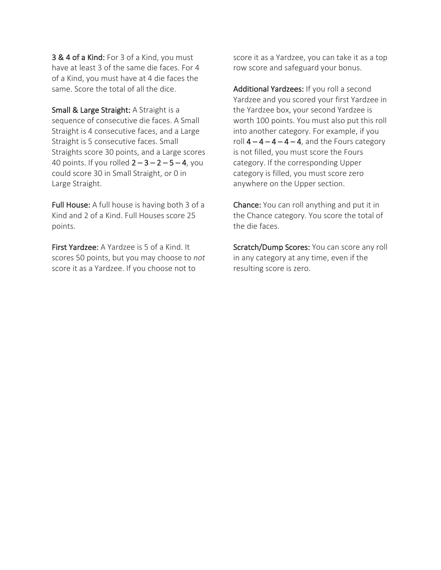3 & 4 of a Kind: For 3 of a Kind, you must have at least 3 of the same die faces. For 4 of a Kind, you must have at 4 die faces the same. Score the total of all the dice.

Small & Large Straight: A Straight is a sequence of consecutive die faces. A Small Straight is 4 consecutive faces, and a Large Straight is 5 consecutive faces. Small Straights score 30 points, and a Large scores 40 points. If you rolled  $2 - 3 - 2 - 5 - 4$ , you could score 30 in Small Straight, or 0 in Large Straight.

Full House: A full house is having both 3 of a Kind and 2 of a Kind. Full Houses score 25 points.

First Yardzee: A Yardzee is 5 of a Kind. It scores 50 points, but you may choose to *not* score it as a Yardzee. If you choose not to

score it as a Yardzee, you can take it as a top row score and safeguard your bonus.

Additional Yardzees: If you roll a second Yardzee and you scored your first Yardzee in the Yardzee box, your second Yardzee is worth 100 points. You must also put this roll into another category. For example, if you roll  $4 - 4 - 4 - 4$ , and the Fours category is not filled, you must score the Fours category. If the corresponding Upper category is filled, you must score zero anywhere on the Upper section.

Chance: You can roll anything and put it in the Chance category. You score the total of the die faces.

Scratch/Dump Scores: You can score any roll in any category at any time, even if the resulting score is zero.